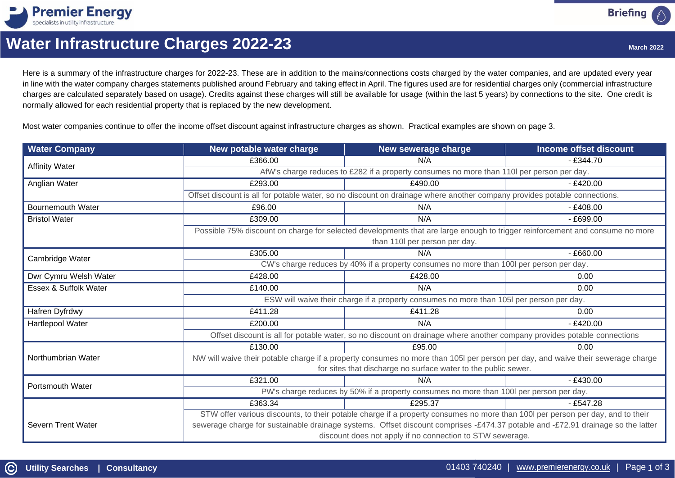

# **Water Infrastructure Charges 2022-23**

Here is a summary of the infrastructure charges for 2022-23. These are in addition to the mains/connections costs charged by the water companies, and are updated every year in line with the water company charges statements published around February and taking effect in April. The figures used are for residential charges only (commercial infrastructure charges are calculated separately based on usage). Credits against these charges will still be available for usage (within the last 5 years) by connections to the site. One credit is normally allowed for each residential property that is replaced by the new development.

Most water companies continue to offer the income offset discount against infrastructure charges as shown. Practical examples are shown on page 3.

| <b>Water Company</b>     | New potable water charge                                                                                                        | New sewerage charge | Income offset discount |  |  |
|--------------------------|---------------------------------------------------------------------------------------------------------------------------------|---------------------|------------------------|--|--|
| <b>Affinity Water</b>    | £366.00                                                                                                                         | N/A                 | $-£344.70$             |  |  |
|                          | AfW's charge reduces to £282 if a property consumes no more than 110l per person per day.                                       |                     |                        |  |  |
| Anglian Water            | £293.00                                                                                                                         | £490.00             | $-£420.00$             |  |  |
|                          | Offset discount is all for potable water, so no discount on drainage where another company provides potable connections.        |                     |                        |  |  |
| <b>Bournemouth Water</b> | £96.00                                                                                                                          | N/A                 | $- E408.00$            |  |  |
| <b>Bristol Water</b>     | £309.00                                                                                                                         | N/A                 | $- E699.00$            |  |  |
|                          | Possible 75% discount on charge for selected developments that are large enough to trigger reinforcement and consume no more    |                     |                        |  |  |
|                          | than 110l per person per day.                                                                                                   |                     |                        |  |  |
| Cambridge Water          | £305.00                                                                                                                         | N/A                 | $- E660.00$            |  |  |
|                          | CW's charge reduces by 40% if a property consumes no more than 100l per person per day.                                         |                     |                        |  |  |
| Dwr Cymru Welsh Water    | £428.00                                                                                                                         | £428.00             | 0.00                   |  |  |
| Essex & Suffolk Water    | £140.00                                                                                                                         | N/A                 | 0.00                   |  |  |
|                          | ESW will waive their charge if a property consumes no more than 105I per person per day.                                        |                     |                        |  |  |
| Hafren Dyfrdwy           | £411.28                                                                                                                         | £411.28             | 0.00                   |  |  |
| <b>Hartlepool Water</b>  | £200.00                                                                                                                         | N/A                 | $-£420.00$             |  |  |
|                          | Offset discount is all for potable water, so no discount on drainage where another company provides potable connections         |                     |                        |  |  |
|                          | £130.00                                                                                                                         | £95.00              | 0.00                   |  |  |
| Northumbrian Water       | NW will waive their potable charge if a property consumes no more than 105I per person per day, and waive their sewerage charge |                     |                        |  |  |
|                          | for sites that discharge no surface water to the public sewer.                                                                  |                     |                        |  |  |
| <b>Portsmouth Water</b>  | £321.00                                                                                                                         | N/A                 | $-£430.00$             |  |  |
|                          | PW's charge reduces by 50% if a property consumes no more than 100l per person per day.                                         |                     |                        |  |  |
|                          | £363.34                                                                                                                         | £295.37             | $-£547.28$             |  |  |
|                          | STW offer various discounts, to their potable charge if a property consumes no more than 100l per person per day, and to their  |                     |                        |  |  |
| Severn Trent Water       | sewerage charge for sustainable drainage systems. Offset discount comprises -£474.37 potable and -£72.91 drainage so the latter |                     |                        |  |  |
|                          | discount does not apply if no connection to STW sewerage.                                                                       |                     |                        |  |  |

**Briefing**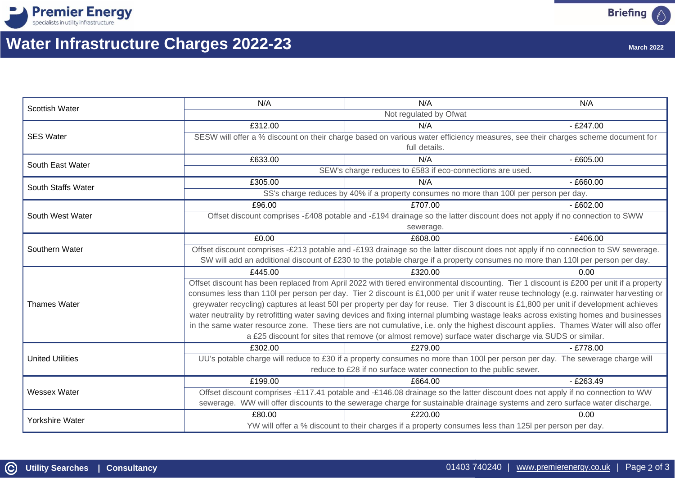



# **Water Infrastructure Charges 2022-23**

| <b>March 2022</b> |  |
|-------------------|--|
|                   |  |

| <b>Scottish Water</b>   | N/A                                                                                                                                     | N/A                                                                                                                          | N/A         |  |
|-------------------------|-----------------------------------------------------------------------------------------------------------------------------------------|------------------------------------------------------------------------------------------------------------------------------|-------------|--|
|                         | Not regulated by Ofwat                                                                                                                  |                                                                                                                              |             |  |
| <b>SES Water</b>        | £312.00                                                                                                                                 | N/A                                                                                                                          | $-£247.00$  |  |
|                         | SESW will offer a % discount on their charge based on various water efficiency measures, see their charges scheme document for          |                                                                                                                              |             |  |
|                         | full details.                                                                                                                           |                                                                                                                              |             |  |
| South East Water        | £633.00                                                                                                                                 | N/A                                                                                                                          | $- E605.00$ |  |
|                         | SEW's charge reduces to £583 if eco-connections are used.                                                                               |                                                                                                                              |             |  |
| South Staffs Water      | £305.00                                                                                                                                 | N/A                                                                                                                          | $- E660.00$ |  |
|                         | SS's charge reduces by 40% if a property consumes no more than 100I per person per day.                                                 |                                                                                                                              |             |  |
| South West Water        | £96.00                                                                                                                                  | £707.00                                                                                                                      | $- E602.00$ |  |
|                         | Offset discount comprises -£408 potable and -£194 drainage so the latter discount does not apply if no connection to SWW                |                                                                                                                              |             |  |
|                         | sewerage.                                                                                                                               |                                                                                                                              |             |  |
|                         | £0.00                                                                                                                                   | £608.00                                                                                                                      | $-£406.00$  |  |
| Southern Water          | Offset discount comprises -£213 potable and -£193 drainage so the latter discount does not apply if no connection to SW sewerage.       |                                                                                                                              |             |  |
|                         | SW will add an additional discount of £230 to the potable charge if a property consumes no more than 110l per person per day.           |                                                                                                                              |             |  |
| <b>Thames Water</b>     | £445.00                                                                                                                                 | £320.00                                                                                                                      | 0.00        |  |
|                         | Offset discount has been replaced from April 2022 with tiered environmental discounting. Tier 1 discount is £200 per unit if a property |                                                                                                                              |             |  |
|                         | consumes less than 110l per person per day. Tier 2 discount is £1,000 per unit if water reuse technology (e.g. rainwater harvesting or  |                                                                                                                              |             |  |
|                         | greywater recycling) captures at least 50l per property per day for reuse. Tier 3 discount is £1,800 per unit if development achieves   |                                                                                                                              |             |  |
|                         | water neutrality by retrofitting water saving devices and fixing internal plumbing wastage leaks across existing homes and businesses   |                                                                                                                              |             |  |
|                         | in the same water resource zone. These tiers are not cumulative, i.e. only the highest discount applies. Thames Water will also offer   |                                                                                                                              |             |  |
|                         | a £25 discount for sites that remove (or almost remove) surface water discharge via SUDS or similar.                                    |                                                                                                                              |             |  |
| <b>United Utilities</b> | £302.00                                                                                                                                 | £279.00                                                                                                                      | $-£778.00$  |  |
|                         |                                                                                                                                         | UU's potable charge will reduce to £30 if a property consumes no more than 100l per person per day. The sewerage charge will |             |  |
|                         | reduce to £28 if no surface water connection to the public sewer.                                                                       |                                                                                                                              |             |  |
| <b>Wessex Water</b>     | £199.00                                                                                                                                 | £664.00                                                                                                                      | $-£263.49$  |  |
|                         | Offset discount comprises -£117.41 potable and -£146.08 drainage so the latter discount does not apply if no connection to WW           |                                                                                                                              |             |  |
|                         | sewerage. WW will offer discounts to the sewerage charge for sustainable drainage systems and zero surface water discharge.             |                                                                                                                              |             |  |
| Yorkshire Water         | £80.00                                                                                                                                  | £220.00                                                                                                                      | 0.00        |  |
|                         | YW will offer a % discount to their charges if a property consumes less than 125I per person per day.                                   |                                                                                                                              |             |  |